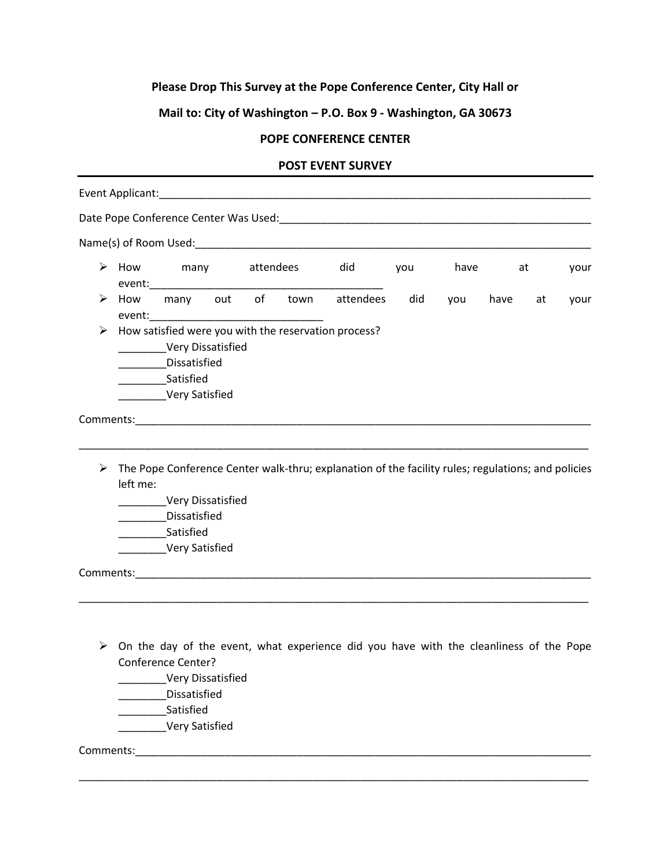## **Please Drop This Survey at the Pope Conference Center, City Hall or**

## **Mail to: City of Washington – P.O. Box 9 - Washington, GA 30673**

## **POPE CONFERENCE CENTER**

## **POST EVENT SURVEY**

|   |          |                                                                                                                                                                                                                                |  |  |  | Name(s) of Room Used: Name (s) and Room is a set of the set of the set of the set of the set of the set of the |     |          |      |    |      |
|---|----------|--------------------------------------------------------------------------------------------------------------------------------------------------------------------------------------------------------------------------------|--|--|--|----------------------------------------------------------------------------------------------------------------|-----|----------|------|----|------|
|   |          |                                                                                                                                                                                                                                |  |  |  | $\triangleright$ How many attendees did                                                                        |     | you have |      | at | your |
| ➤ | How      |                                                                                                                                                                                                                                |  |  |  | many out of town attendees                                                                                     | did | you      | have | at | your |
|   |          | Very Dissatisfied<br>Dissatisfied<br>Satisfied<br>_________Very Satisfied                                                                                                                                                      |  |  |  | $\triangleright$ How satisfied were you with the reservation process?                                          |     |          |      |    |      |
|   |          | Comments: North Comments: North Comments: North Comments: North Comments: North Comments: North Comments: North Comments: North Comments: North Comments: North Comments: North Comments: North Comments: North Comments: Nort |  |  |  |                                                                                                                |     |          |      |    |      |
| ➤ | left me: | <b>Very Dissatisfied</b><br>________Dissatisfied<br>Satisfied<br>Very Satisfied                                                                                                                                                |  |  |  | The Pope Conference Center walk-thru; explanation of the facility rules; regulations; and policies             |     |          |      |    |      |
|   |          |                                                                                                                                                                                                                                |  |  |  |                                                                                                                |     |          |      |    |      |
| ➤ |          | <b>Conference Center?</b><br>Very Dissatisfied<br><b>Dissatisfied</b><br>Satisfied<br>Very Satisfied                                                                                                                           |  |  |  | On the day of the event, what experience did you have with the cleanliness of the Pope                         |     |          |      |    |      |

\_\_\_\_\_\_\_\_\_\_\_\_\_\_\_\_\_\_\_\_\_\_\_\_\_\_\_\_\_\_\_\_\_\_\_\_\_\_\_\_\_\_\_\_\_\_\_\_\_\_\_\_\_\_\_\_\_\_\_\_\_\_\_\_\_\_\_\_\_\_\_\_\_\_\_\_\_\_\_\_\_\_\_\_\_

Comments:\_\_\_\_\_\_\_\_\_\_\_\_\_\_\_\_\_\_\_\_\_\_\_\_\_\_\_\_\_\_\_\_\_\_\_\_\_\_\_\_\_\_\_\_\_\_\_\_\_\_\_\_\_\_\_\_\_\_\_\_\_\_\_\_\_\_\_\_\_\_\_\_\_\_\_\_